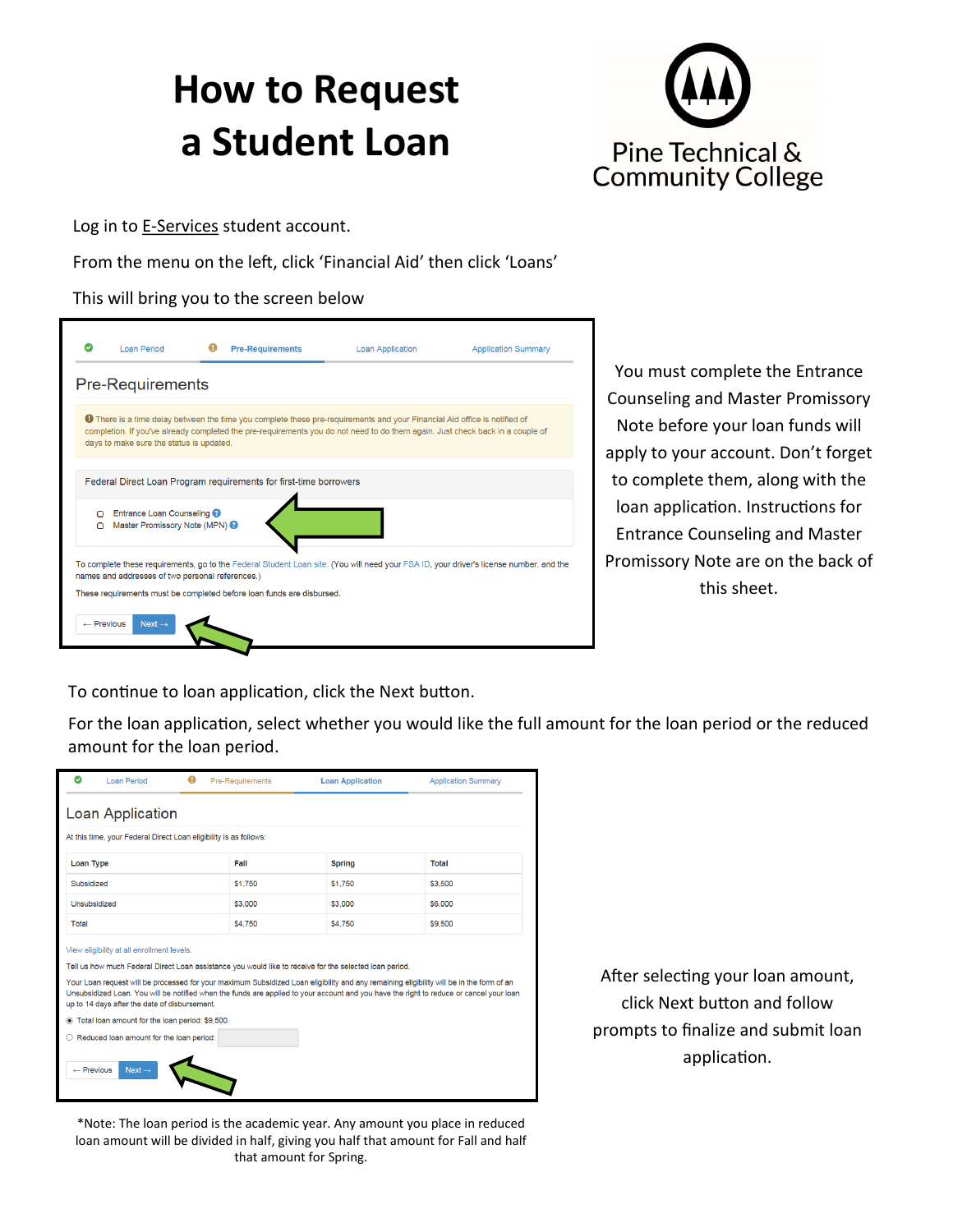# **How to Request a Student Loan**



Log in to **E-[Services](https://webproc.mnscu.edu/esession/authentication.do?campusId=205&postAuthUrl=http%3A%2F%2Fwebproc.mnscu.edu%2Feservices%2Flogin.html%3Fcampusid%3D205)** student account.

From the menu on the left, click 'Financial Aid' then click 'Loans'

#### This will bring you to the screen below



You must complete the Entrance Counseling and Master Promissory Note before your loan funds will apply to your account. Don't forget to complete them, along with the loan application. Instructions for Entrance Counseling and Master Promissory Note are on the back of this sheet.

To continue to loan application, click the Next button.

For the loan application, select whether you would like the full amount for the loan period or the reduced amount for the loan period.

| ø<br>A<br><b>Loan Period</b>                                                                                                                                                                                                                                                                                                                                                                                                                                                                                                                                                                                                                           | <b>Pre-Requirements</b> | <b>Loan Application</b> | <b>Application Summary</b> |
|--------------------------------------------------------------------------------------------------------------------------------------------------------------------------------------------------------------------------------------------------------------------------------------------------------------------------------------------------------------------------------------------------------------------------------------------------------------------------------------------------------------------------------------------------------------------------------------------------------------------------------------------------------|-------------------------|-------------------------|----------------------------|
| Loan Application                                                                                                                                                                                                                                                                                                                                                                                                                                                                                                                                                                                                                                       |                         |                         |                            |
| At this time, your Federal Direct Loan eligibility is as follows:                                                                                                                                                                                                                                                                                                                                                                                                                                                                                                                                                                                      |                         |                         |                            |
| Loan Type                                                                                                                                                                                                                                                                                                                                                                                                                                                                                                                                                                                                                                              | Fall                    | <b>Spring</b>           | <b>Total</b>               |
| Subsidized                                                                                                                                                                                                                                                                                                                                                                                                                                                                                                                                                                                                                                             | \$1,750                 | \$1,750                 | \$3,500                    |
| Unsubsidized                                                                                                                                                                                                                                                                                                                                                                                                                                                                                                                                                                                                                                           | \$3,000                 | \$3,000                 | \$6,000                    |
| Total                                                                                                                                                                                                                                                                                                                                                                                                                                                                                                                                                                                                                                                  | \$4,750                 | \$4,750                 | \$9,500                    |
| View eligibility at all enrollment levels.<br>Tell us how much Federal Direct Loan assistance you would like to receive for the selected loan period.<br>Your Loan request will be processed for your maximum Subsidized Loan eligibility and any remaining eligibility will be in the form of an<br>Unsubsidized Loan. You will be notified when the funds are applied to your account and you have the right to reduce or cancel your loan<br>up to 14 days after the date of disbursement.<br>Total loan amount for the loan period: \$9,500.<br>$\bigcirc$ Reduced loan amount for the loan period:<br>$\leftarrow$ Previous<br>Next $\rightarrow$ |                         |                         |                            |

\*Note: The loan period is the academic year. Any amount you place in reduced loan amount will be divided in half, giving you half that amount for Fall and half that amount for Spring.

After selecting your loan amount, click Next button and follow prompts to finalize and submit loan application.